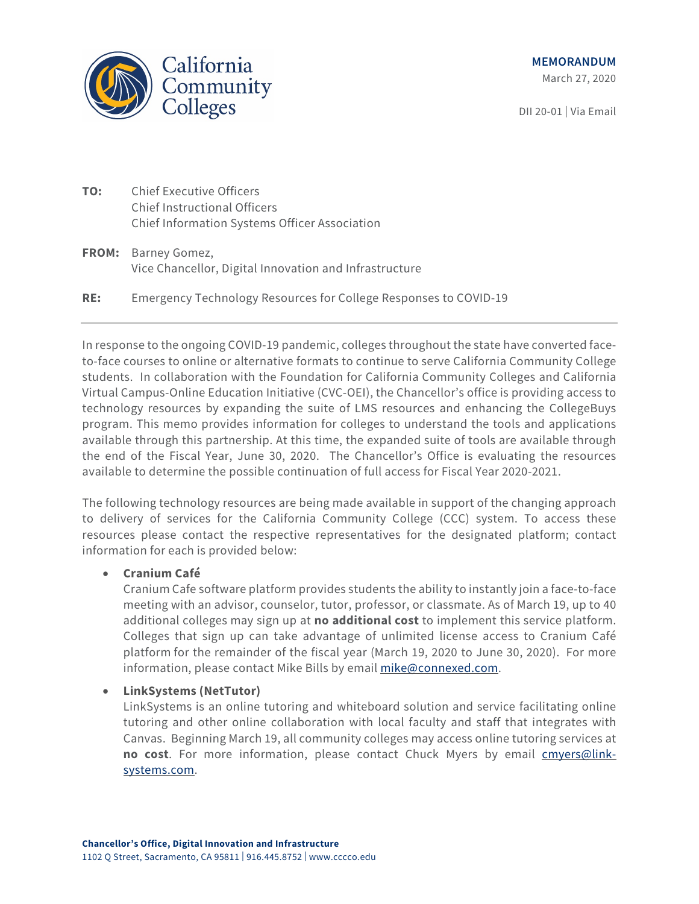

DII 20-01 | Via Email

- **TO:** Chief Executive Officers Chief Instructional Officers Chief Information Systems Officer Association
- **FROM:** Barney Gomez, Vice Chancellor, Digital Innovation and Infrastructure
- **RE:** Emergency Technology Resources for College Responses to COVID-19

In response to the ongoing COVID-19 pandemic, colleges throughout the state have converted faceto-face courses to online or alternative formats to continue to serve California Community College students. In collaboration with the Foundation for California Community Colleges and California Virtual Campus-Online Education Initiative (CVC-OEI), the Chancellor's office is providing access to technology resources by expanding the suite of LMS resources and enhancing the CollegeBuys program. This memo provides information for colleges to understand the tools and applications available through this partnership. At this time, the expanded suite of tools are available through the end of the Fiscal Year, June 30, 2020. The Chancellor's Office is evaluating the resources available to determine the possible continuation of full access for Fiscal Year 2020-2021.

The following technology resources are being made available in support of the changing approach to delivery of services for the California Community College (CCC) system. To access these resources please contact the respective representatives for the designated platform; contact information for each is provided below:

# • **[Cranium Café](https://drive.google.com/file/d/1tfrNqihAd_HseaL3yLsYfqdVlkOxnx6p/view)**

Cranium Cafe software platform provides students the ability to instantly join a face-to-face meeting with an advisor, counselor, tutor, professor, or classmate. As of March 19, up to 40 additional colleges may sign up at **no additional cost** to implement this service platform. Colleges that sign up can take advantage of unlimited license access to Cranium Café platform for the remainder of the fiscal year (March 19, 2020 to June 30, 2020). For more information, please contact Mike Bills by email [mike@connexed.com.](mailto:mike@connexed.com)

# • **[LinkSystems \(NetTutor\)](https://drive.google.com/open?id=1tglgVwyzHjtAzytLLpDx89TfCduw_sn3)**

LinkSystems is an online tutoring and whiteboard solution and service facilitating online tutoring and other online collaboration with local faculty and staff that integrates with Canvas. Beginning March 19, all community colleges may access online tutoring services at **no cost**. For more information, please contact Chuck Myers by email [cmyers@link](mailto:cmyers@link-systems.com)[systems.com.](mailto:cmyers@link-systems.com)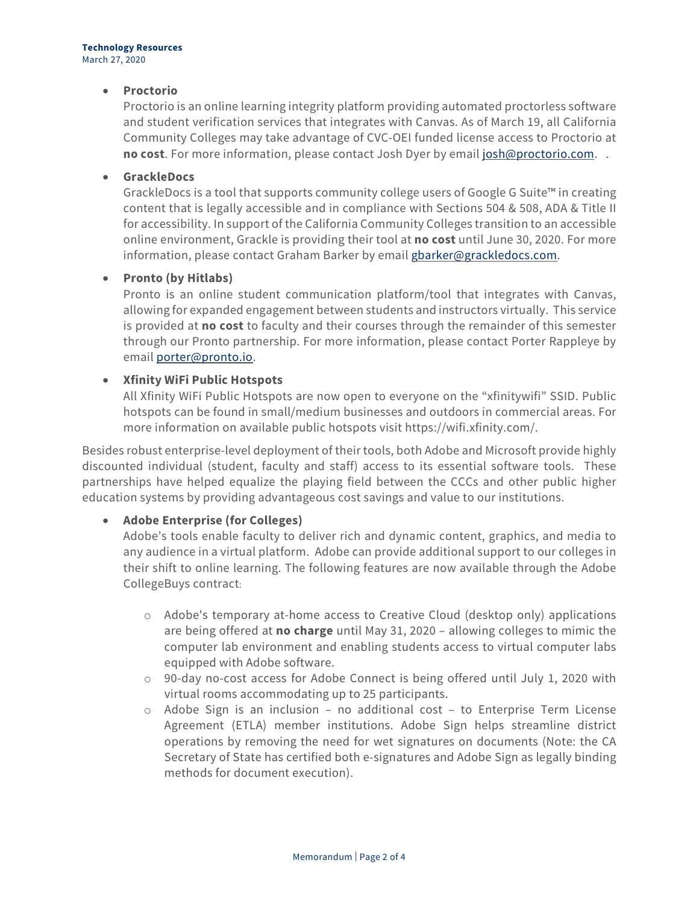### • **[Proctorio](https://drive.google.com/open?id=12Sggn6sFPOO9zI1BUQUmgPWx2bk3OKAv)**

Proctorio is an online learning integrity platform providing automated proctorless software and student verification services that integrates with Canvas. As of March 19, all California Community Colleges may take advantage of CVC-OEI funded license access to Proctorio at **no cost**. For more information, please contact Josh Dyer by emai[l josh@proctorio.com.](mailto:josh@proctorio.com) .

### • **[GrackleDocs](https://foundationccc.org/CollegeBuys/For-Colleges/Our-Partners/Education-Technology)**

GrackleDocs is a tool that supports community college users of Google G Suite™ in creating content that is legally accessible and in compliance with Sections 504 & 508, ADA & Title II for accessibility. In support of the California Community Colleges transition to an accessible online environment, Grackle is providing their tool at **no cost** until June 30, 2020. For more information, please contact Graham Barker by email [gbarker@grackledocs.com.](mailto:gbarker@grackledocs.com)

### • **[Pronto \(by Hitlabs\)](https://drive.google.com/open?id=1U0yJ1esjvwngFWP17G46KXcdVDKCHySU)**

Pronto is an online student communication platform/tool that integrates with Canvas, allowing for expanded engagement between students and instructors virtually. This service is provided at **no cost** to faculty and their courses through the remainder of this semester through our Pronto partnership. For more information, please contact Porter Rappleye by email [porter@pronto.io.](mailto:porter@pronto.io)

## • **Xfinity WiFi Public Hotspots**

All Xfinity WiFi Public Hotspots are now open to everyone on the "xfinitywifi" SSID. Public hotspots can be found in small/medium businesses and outdoors in commercial areas. For more information on available public hotspots visit [https://wifi.xfinity.com/.](https://wifi.xfinity.com/)

Besides robust enterprise-level deployment of their tools, both Adobe and Microsoft provide highly discounted individual (student, faculty and staff) access to its essential software tools. These partnerships have helped equalize the playing field between the CCCs and other public higher education systems by providing advantageous cost savings and value to our institutions.

# • **Adobe Enterprise (for Colleges)**

Adobe's tools enable faculty to deliver rich and dynamic content, graphics, and media to any audience in a virtual platform. Adobe can provide additional support to our colleges in their shift to online learning. The following features are now available through the Adobe CollegeBuys contract:

- o Adobe's temporary at-home access to Creative Cloud (desktop only) applications are being offered at **no charge** until May 31, 2020 – allowing colleges to mimic the computer lab environment and enabling students access to virtual computer labs equipped with Adobe software.
- o 90-day no-cost access for Adobe Connect is being offered until July 1, 2020 with virtual rooms accommodating up to 25 participants.
- o Adobe Sign is an inclusion no additional cost to Enterprise Term License Agreement (ETLA) member institutions. Adobe Sign helps streamline district operations by removing the need for wet signatures on documents (Note: the CA Secretary of State has certified both e-signatures and Adobe Sign as legally binding methods for document execution).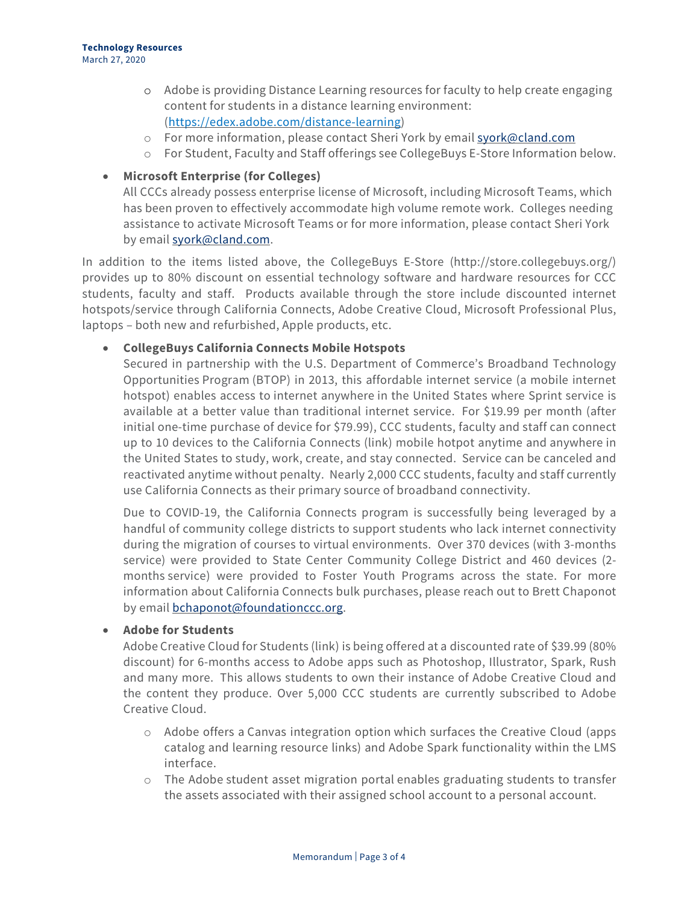- o Adobe is providing Distance Learning resources for faculty to help create engaging content for students in a distance learning environment: [\(https://edex.adobe.com/distance-learning\)](https://edex.adobe.com/distance-learning)
- o For more information, please contact Sheri York by email [syork@cland.com](mailto:syork@cland.com)
- o For Student, Faculty and Staff offerings see CollegeBuys E-Store Information below.

# • **Microsoft Enterprise (for Colleges)**

All CCCs already possess enterprise license of Microsoft, including Microsoft Teams, which has been proven to effectively accommodate high volume remote work. Colleges needing assistance to activate Microsoft Teams or for more information, please contact Sheri York by email [syork@cland.com.](mailto:syork@cland.com)

In addition to the items listed above, the CollegeBuys E-Store [\(http://store.collegebuys.org/\)](http://store.collegebuys.org/) provides up to 80% discount on essential technology software and hardware resources for CCC students, faculty and staff. Products available through the store include discounted internet hotspots/service through California Connects, Adobe Creative Cloud, Microsoft Professional Plus, laptops – both new and refurbished, Apple products, etc.

# • **CollegeBuys [California Connects](https://shop.collegebuys.org/articles/calconnects_landing.htm) Mobile Hotspots**

Secured in partnership with the U.S. Department of Commerce's Broadband Technology Opportunities Program (BTOP) in 2013, this affordable internet service (a mobile internet hotspot) enables access to [internet anywhere](https://coverage.sprint.com/IMPACT.jsp?) in the United States where Sprint service is available at a better value than traditional internet service. For \$19.99 per month (after initial one-time purchase of device for \$79.99), CCC students, faculty and staff can connect up to 10 devices to the California Connects [\(link\)](https://shop.collegebuys.org/articles/calconnects_landing.htm) mobile hotpot anytime and [anywhere](https://coverage.sprint.com/) in the United States to study, work, create, and stay connected. Service can be canceled and reactivated anytime without penalty. Nearly 2,000 CCC students, faculty and staff currently use California Connects as their primary source of broadband connectivity.

Due to COVID-19, the California Connects program is successfully being leveraged by a handful of community college districts to support students who lack internet connectivity during the migration of courses to virtual environments. Over 370 devices (with 3-months service) were provided to State Center Community College District and 460 devices (2 months service) were provided to Foster Youth Programs across the state. For more information about California Connects bulk purchases, please reach out to Brett Chaponot by email **bchaponot**@foundationccc.org.

# • **[Adobe for Students](https://shop.collegebuys.org/articles/ACC_Student39_Landing.htm)**

[Adobe Creative Cloud for Students](https://shop.collegebuys.org/articles/ACC_Student39_Landing.htm) [\(link\)](https://shop.collegebuys.org/articles/ACC_Student39_Landing.htm) is being offered at a discounted rate of \$39.99 (80% discount) for 6-months access to Adobe apps such as Photoshop, Illustrator, Spark, Rush and many more. This allows students to own their instance of Adobe Creative Cloud and the content they produce. Over 5,000 CCC students are currently subscribed to Adobe Creative Cloud.

- $\circ$  Adobe offers a [Canvas integration option](https://adobeint-mkt-prod1-t.campaign.adobe.com/r/?id=h6462edd,11b4c59f,11b4c685) which surfaces the Creative Cloud (apps catalog and learning resource links) and Adobe Spark functionality within the LMS interface.
- $\circ$  The Adobe [student asset migration portal](https://adobeint-mkt-prod1-t.campaign.adobe.com/r/?id=h6462edd,11b4c59f,11b4c686) enables graduating students to transfer the assets associated with their assigned school account to a personal account.